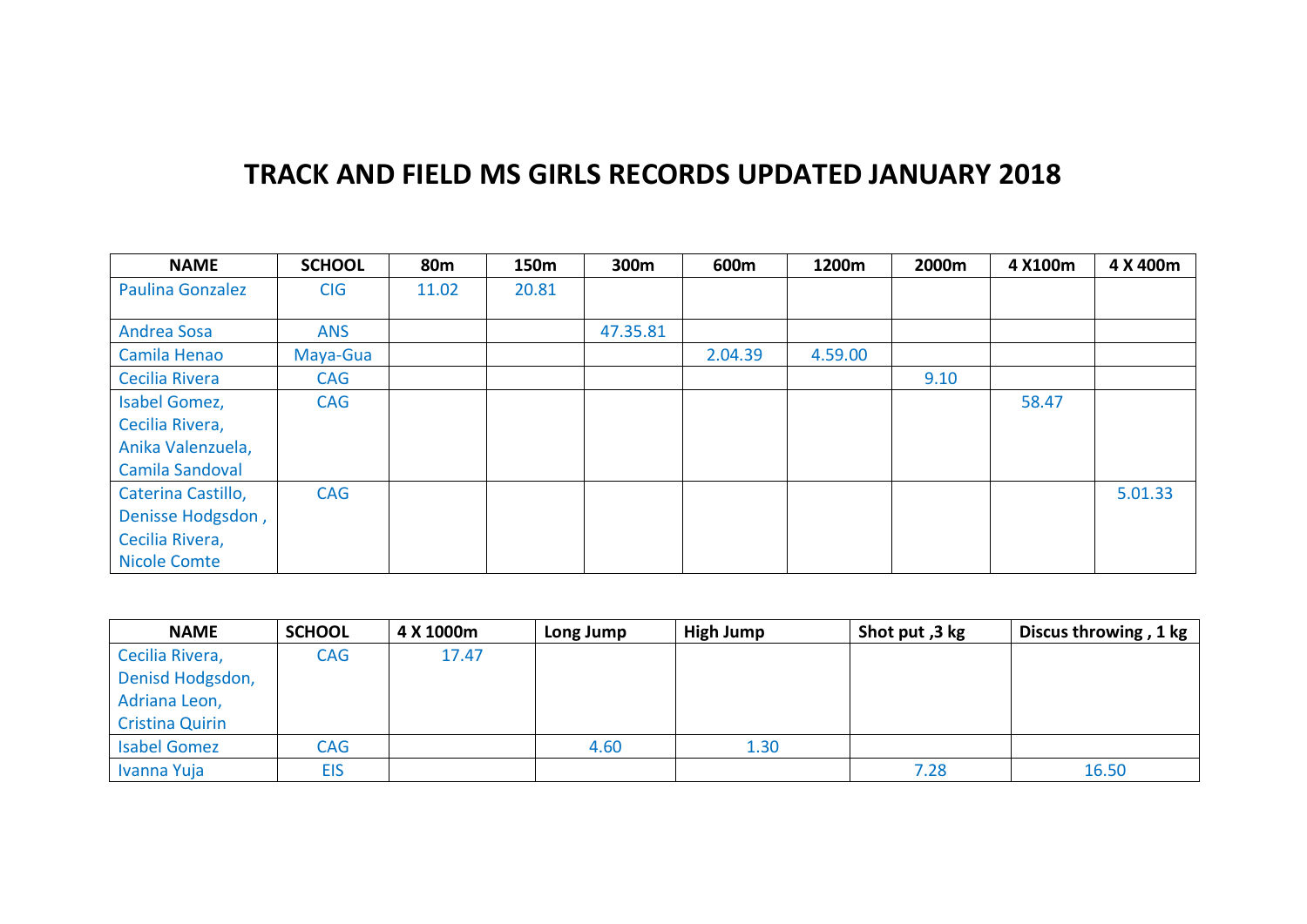## **TRACK AND FIELD MS GIRLS RECORDS UPDATED JANUARY 2018**

| <b>NAME</b>             | <b>SCHOOL</b> | 80 <sub>m</sub> | 150m  | 300m     | 600m    | 1200m   | 2000m | 4 X100m | 4 X 400m |
|-------------------------|---------------|-----------------|-------|----------|---------|---------|-------|---------|----------|
| <b>Paulina Gonzalez</b> | <b>CIG</b>    | 11.02           | 20.81 |          |         |         |       |         |          |
|                         |               |                 |       |          |         |         |       |         |          |
| <b>Andrea Sosa</b>      | <b>ANS</b>    |                 |       | 47.35.81 |         |         |       |         |          |
| Camila Henao            | Maya-Gua      |                 |       |          | 2.04.39 | 4.59.00 |       |         |          |
| Cecilia Rivera          | CAG           |                 |       |          |         |         | 9.10  |         |          |
| Isabel Gomez,           | <b>CAG</b>    |                 |       |          |         |         |       | 58.47   |          |
| Cecilia Rivera,         |               |                 |       |          |         |         |       |         |          |
| Anika Valenzuela,       |               |                 |       |          |         |         |       |         |          |
| Camila Sandoval         |               |                 |       |          |         |         |       |         |          |
| Caterina Castillo,      | <b>CAG</b>    |                 |       |          |         |         |       |         | 5.01.33  |
| Denisse Hodgsdon,       |               |                 |       |          |         |         |       |         |          |
| Cecilia Rivera,         |               |                 |       |          |         |         |       |         |          |
| <b>Nicole Comte</b>     |               |                 |       |          |         |         |       |         |          |

| <b>NAME</b>            | <b>SCHOOL</b> | 4 X 1000m | Long Jump | High Jump | Shot put, 3 kg | Discus throwing, 1 kg |
|------------------------|---------------|-----------|-----------|-----------|----------------|-----------------------|
| Cecilia Rivera,        | <b>CAG</b>    | 17.47     |           |           |                |                       |
| Denisd Hodgsdon,       |               |           |           |           |                |                       |
| Adriana Leon,          |               |           |           |           |                |                       |
| <b>Cristina Quirin</b> |               |           |           |           |                |                       |
| <b>Isabel Gomez</b>    | <b>CAG</b>    |           | 4.60      | 1.30      |                |                       |
| Ivanna Yuja            | <b>EIS</b>    |           |           |           | 7.28           | 16.50                 |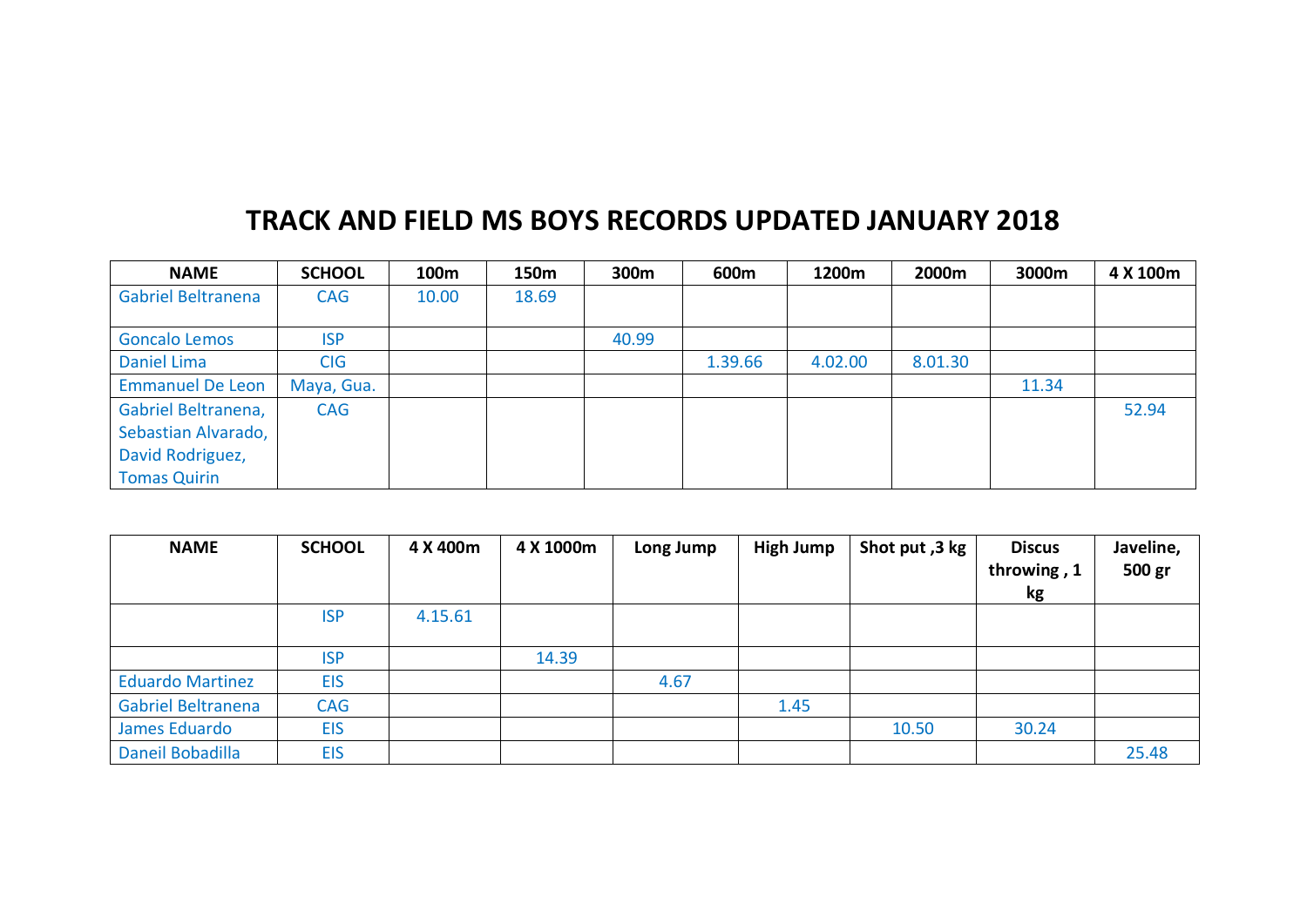## **TRACK AND FIELD MS BOYS RECORDS UPDATED JANUARY 2018**

| <b>NAME</b>             | <b>SCHOOL</b> | 100m  | 150m  | 300m  | 600m    | 1200m   | 2000m   | 3000m | 4 X 100m |
|-------------------------|---------------|-------|-------|-------|---------|---------|---------|-------|----------|
| Gabriel Beltranena      | <b>CAG</b>    | 10.00 | 18.69 |       |         |         |         |       |          |
|                         |               |       |       |       |         |         |         |       |          |
| <b>Goncalo Lemos</b>    | <b>ISP</b>    |       |       | 40.99 |         |         |         |       |          |
| Daniel Lima             | <b>CIG</b>    |       |       |       | 1.39.66 | 4.02.00 | 8.01.30 |       |          |
| <b>Emmanuel De Leon</b> | Maya, Gua.    |       |       |       |         |         |         | 11.34 |          |
| Gabriel Beltranena,     | <b>CAG</b>    |       |       |       |         |         |         |       | 52.94    |
| Sebastian Alvarado,     |               |       |       |       |         |         |         |       |          |
| David Rodriguez,        |               |       |       |       |         |         |         |       |          |
| <b>Tomas Quirin</b>     |               |       |       |       |         |         |         |       |          |

| <b>NAME</b>               | <b>SCHOOL</b> | 4 X 400m | 4 X 1000m | Long Jump | <b>High Jump</b> | Shot put, 3 kg | <b>Discus</b><br>throwing, 1<br>kg | Javeline,<br>500 gr |
|---------------------------|---------------|----------|-----------|-----------|------------------|----------------|------------------------------------|---------------------|
|                           | <b>ISP</b>    | 4.15.61  |           |           |                  |                |                                    |                     |
|                           | <b>ISP</b>    |          | 14.39     |           |                  |                |                                    |                     |
| <b>Eduardo Martinez</b>   | <b>EIS</b>    |          |           | 4.67      |                  |                |                                    |                     |
| <b>Gabriel Beltranena</b> | <b>CAG</b>    |          |           |           | 1.45             |                |                                    |                     |
| James Eduardo             | <b>EIS</b>    |          |           |           |                  | 10.50          | 30.24                              |                     |
| Daneil Bobadilla          | <b>EIS</b>    |          |           |           |                  |                |                                    | 25.48               |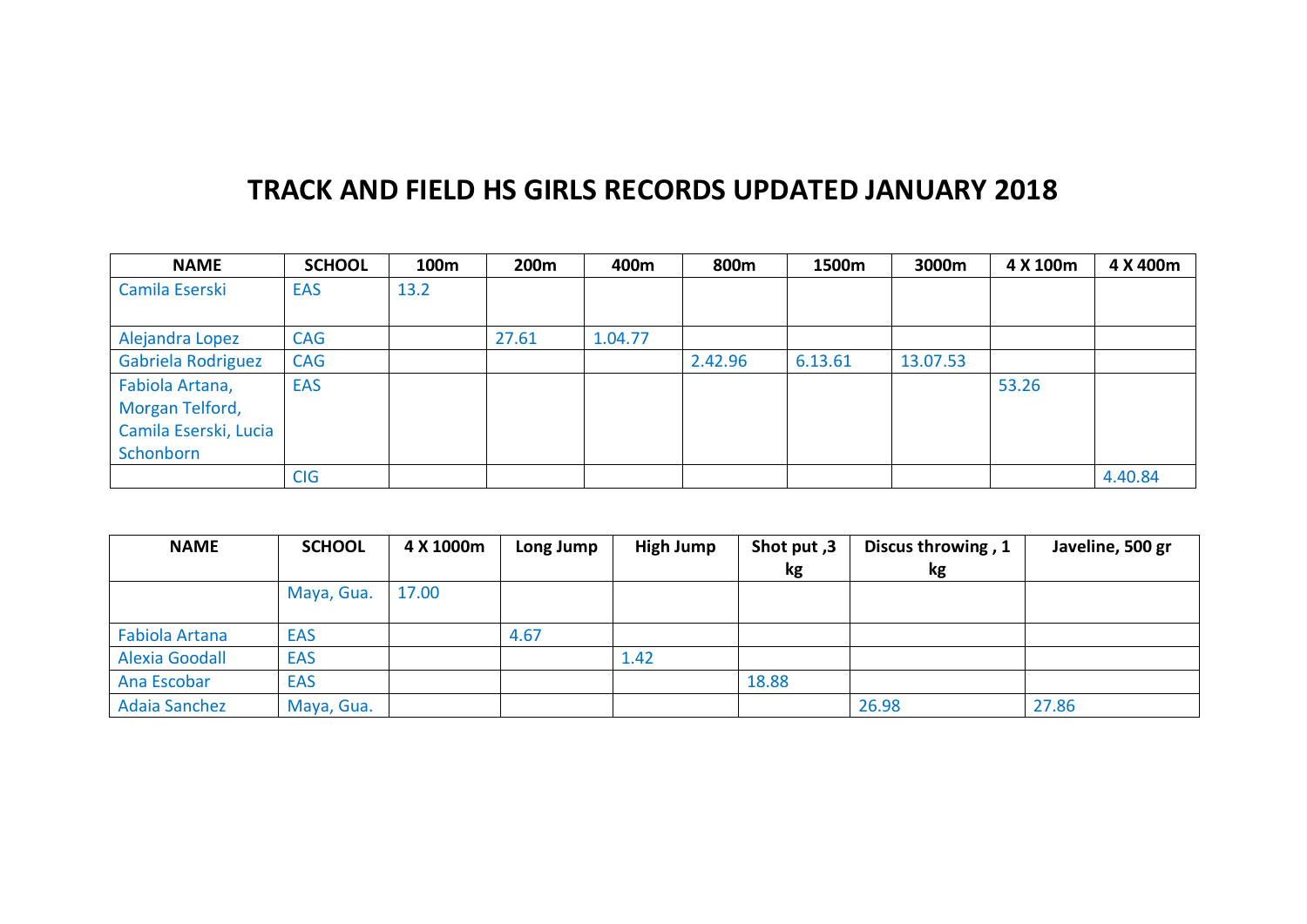## **TRACK AND FIELD HS GIRLS RECORDS UPDATED JANUARY 2018**

| <b>NAME</b>           | <b>SCHOOL</b> | 100m | 200m  | 400m    | 800m    | 1500m   | 3000m    | 4 X 100m | 4 X 400m |
|-----------------------|---------------|------|-------|---------|---------|---------|----------|----------|----------|
| Camila Eserski        | <b>EAS</b>    | 13.2 |       |         |         |         |          |          |          |
|                       |               |      |       |         |         |         |          |          |          |
| Alejandra Lopez       | <b>CAG</b>    |      | 27.61 | 1.04.77 |         |         |          |          |          |
| Gabriela Rodriguez    | <b>CAG</b>    |      |       |         | 2.42.96 | 6.13.61 | 13.07.53 |          |          |
| Fabiola Artana,       | <b>EAS</b>    |      |       |         |         |         |          | 53.26    |          |
| Morgan Telford,       |               |      |       |         |         |         |          |          |          |
| Camila Eserski, Lucia |               |      |       |         |         |         |          |          |          |
| Schonborn             |               |      |       |         |         |         |          |          |          |
|                       | <b>CIG</b>    |      |       |         |         |         |          |          | 4.40.84  |

| <b>NAME</b>           | <b>SCHOOL</b> | 4 X 1000m | Long Jump | <b>High Jump</b> | Shot put, 3<br>kg | Discus throwing, 1<br>kg | Javeline, 500 gr |
|-----------------------|---------------|-----------|-----------|------------------|-------------------|--------------------------|------------------|
|                       | Maya, Gua.    | 17.00     |           |                  |                   |                          |                  |
| <b>Fabiola Artana</b> | <b>EAS</b>    |           | 4.67      |                  |                   |                          |                  |
| <b>Alexia Goodall</b> | <b>EAS</b>    |           |           | 1.42             |                   |                          |                  |
| Ana Escobar           | <b>EAS</b>    |           |           |                  | 18.88             |                          |                  |
| <b>Adaia Sanchez</b>  | Maya, Gua.    |           |           |                  |                   | 26.98                    | 27.86            |